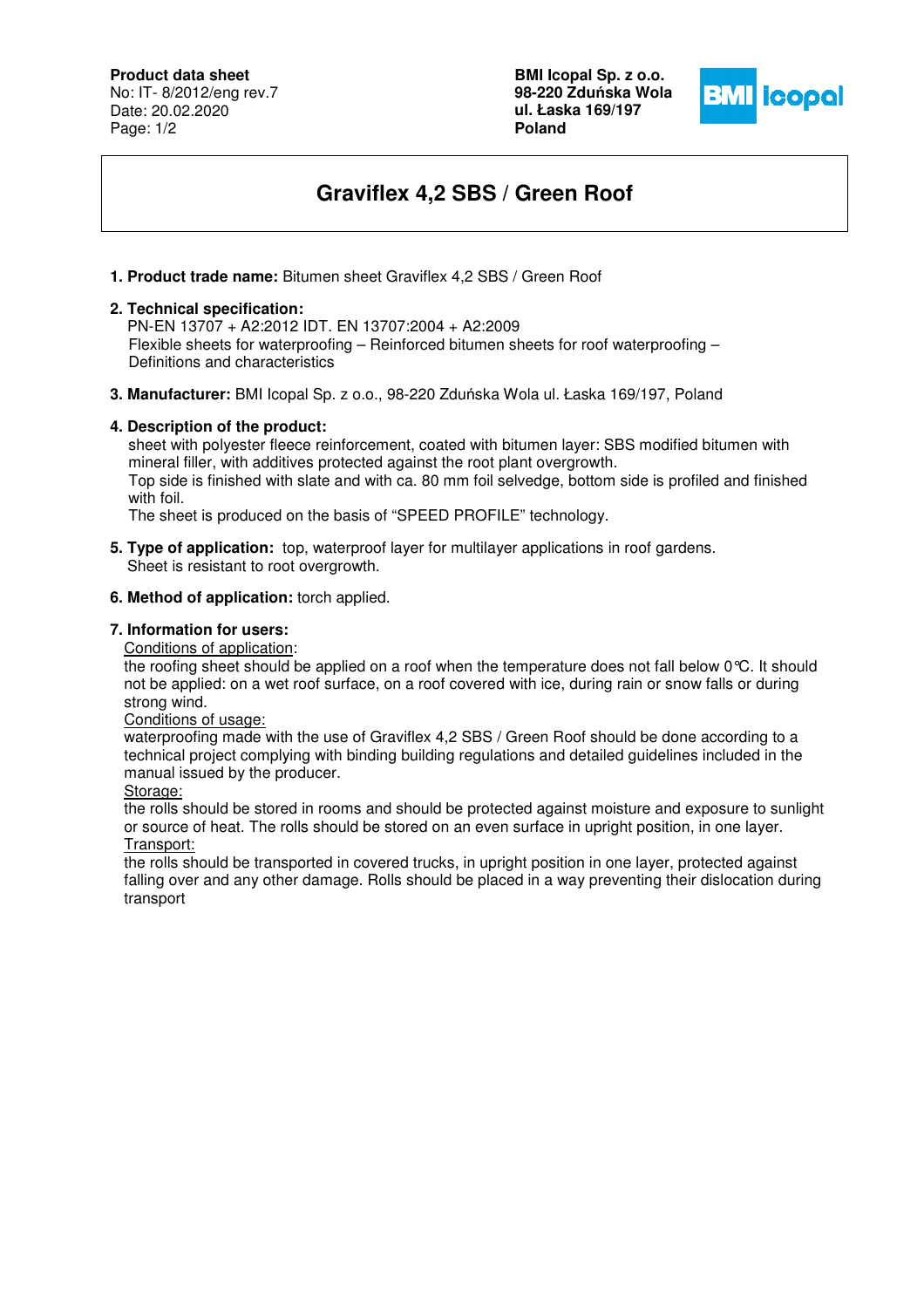**Product data sheet**

No: IT- 8/2012/eng rev.7 Date: 20.02.2020 Page: 1/2

**BMI Icopal Sp. z o.o. 98-220 Zdu**ń**ska Wola ul. Łaska 169/197 Poland** 



# **Graviflex 4,2 SBS / Green Roof**

**1. Product trade name:** Bitumen sheet Graviflex 4,2 SBS / Green Roof

#### **2. Technical specification:**

 PN-EN 13707 + A2:2012 IDT. EN 13707:2004 + A2:2009 Flexible sheets for waterproofing – Reinforced bitumen sheets for roof waterproofing – Definitions and characteristics

**3. Manufacturer:** BMI Icopal Sp. z o.o., 98-220 Zduńska Wola ul. Łaska 169/197, Poland

## **4. Description of the product:**

 sheet with polyester fleece reinforcement, coated with bitumen layer: SBS modified bitumen with mineral filler, with additives protected against the root plant overgrowth. Top side is finished with slate and with ca. 80 mm foil selvedge, bottom side is profiled and finished with foil.

The sheet is produced on the basis of "SPEED PROFILE" technology.

**5. Type of application:** top, waterproof layer for multilayer applications in roof gardens. Sheet is resistant to root overgrowth.

## **6. Method of application:** torch applied.

## **7. Information for users:**

Conditions of application:

the roofing sheet should be applied on a roof when the temperature does not fall below 0°C. It should not be applied: on a wet roof surface, on a roof covered with ice, during rain or snow falls or during strong wind.

Conditions of usage:

waterproofing made with the use of Graviflex 4,2 SBS / Green Roof should be done according to a technical project complying with binding building regulations and detailed guidelines included in the manual issued by the producer.

Storage:

the rolls should be stored in rooms and should be protected against moisture and exposure to sunlight or source of heat. The rolls should be stored on an even surface in upright position, in one layer. Transport:

the rolls should be transported in covered trucks, in upright position in one layer, protected against falling over and any other damage. Rolls should be placed in a way preventing their dislocation during transport